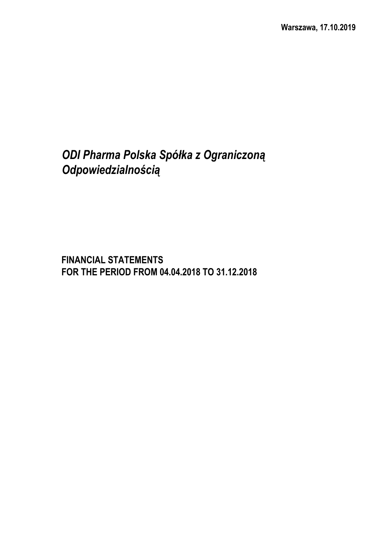# *ODI Pharma Polska Spółka z Ograniczoną Odpowiedzialnością*

**FINANCIAL STATEMENTS FOR THE PERIOD FROM 04.04.2018 TO 31.12.2018**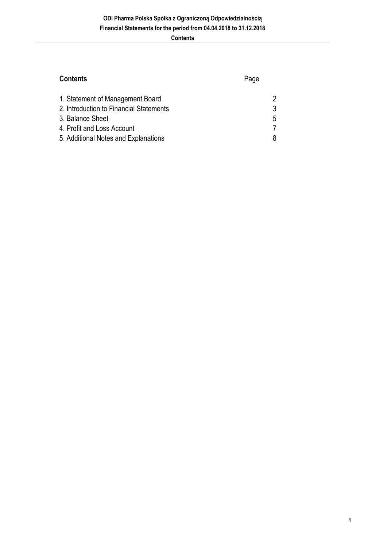## **Contents** Page

| 1. Statement of Management Board        |    |
|-----------------------------------------|----|
| 2. Introduction to Financial Statements |    |
| 3. Balance Sheet                        | 5. |
| 4. Profit and Loss Account              |    |
| 5. Additional Notes and Explanations    |    |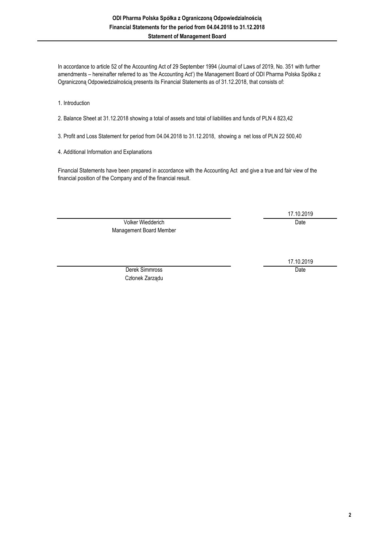In accordance to article 52 of the Accounting Act of 29 September 1994 (Journal of Laws of 2019, No. 351 with further amendments – hereinafter referred to as 'the Accounting Act') the Management Board of ODI Pharma Polska Spółka z Ograniczoną Odpowiedzialnością presents its Financial Statements as of 31.12.2018, that consists of:

1. Introduction

2. Balance Sheet at 31.12.2018 showing a total of assets and total of liabilities and funds of PLN 4 823,42

3. Profit and Loss Statement for period from 04.04.2018 to 31.12.2018, showing a net loss of PLN 22 500,40

4. Additional Information and Explanations

Financial Statements have been prepared in accordance with the Accounting Act and give a true and fair view of the financial position of the Company and of the financial result.

> Volker Wiedderich Date Management Board Member

17.10.2019

17.10.2019

Derek Simmross Date Członek Zarządu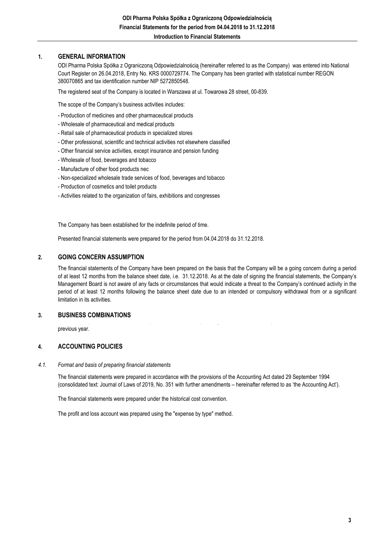#### **1. GENERAL INFORMATION**

ODI Pharma Polska Spółka z Ograniczoną Odpowiedzialnością (hereinafter referred to as the Company) was entered into National Court Register on 26.04.2018, Entry No. KRS 0000729774. The Company has been granted with statistical number REGON 380070865 and tax identification number NIP 5272850548.

The registered seat of the Company is located in Warszawa at ul. Towarowa 28 street, 00-839.

The scope of the Company's business activities includes:

- Production of medicines and other pharmaceutical products
- Wholesale of pharmaceutical and medical products
- Retail sale of pharmaceutical products in specialized stores
- Other professional, scientific and technical activities not elsewhere classified
- Other financial service activities, except insurance and pension funding
- Wholesale of food, beverages and tobacco
- Manufacture of other food products nec
- Non-specialized wholesale trade services of food, beverages and tobacco
- Production of cosmetics and toilet products
- Activities related to the organization of fairs, exhibitions and congresses

The Company has been established for the indefinite period of time.

Presented financial statements were prepared for the period from 04.04.2018 do 31.12.2018.

#### **2. GOING CONCERN ASSUMPTION**

The financial statements of the Company have been prepared on the basis that the Company will be a going concern during a period of at least 12 months from the balance sheet date, i.e. 31.12.2018. As at the date of signing the financial statements, the Company's Management Board is not aware of any facts or circumstances that would indicate a threat to the Company's continued activity in the period of at least 12 months following the balance sheet date due to an intended or compulsory withdrawal from or a significant limitation in its activities.

The Company did not combine with any other business entity during the period covered by these financial statements and the

#### **3. BUSINESS COMBINATIONS**

previous year.

#### **4. ACCOUNTING POLICIES**

#### *4.1. Format and basis of preparing financial statements*

The financial statements were prepared in accordance with the provisions of the Accounting Act dated 29 September 1994 (consolidated text: Journal of Laws of 2019, No. 351 with further amendments – hereinafter referred to as 'the Accounting Act').

The financial statements were prepared under the historical cost convention.

The profit and loss account was prepared using the "expense by type" method.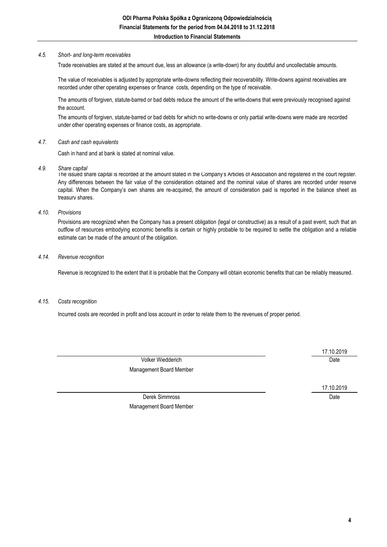#### *4.5. Short- and long-term receivables*

Trade receivables are stated at the amount due, less an allowance (a write-down) for any doubtful and uncollectable amounts.

The value of receivables is adjusted by appropriate write-downs reflecting their recoverability. Write-downs against receivables are recorded under other operating expenses or finance costs, depending on the type of receivable.

The amounts of forgiven, statute-barred or bad debts reduce the amount of the write-downs that were previously recognised against the account.

The amounts of forgiven, statute-barred or bad debts for which no write-downs or only partial write-downs were made are recorded under other operating expenses or finance costs, as appropriate.

#### *4.7. Cash and cash equivalents*

Cash in hand and at bank is stated at nominal value.

*4.9. Share capital*

The issued share capital is recorded at the amount stated in the Company's Articles of Association and registered in the court register. Any differences between the fair value of the consideration obtained and the nominal value of shares are recorded under reserve capital. When the Company's own shares are re-acquired, the amount of consideration paid is reported in the balance sheet as treasury shares.

#### *4.10. Provisions*

Provisions are recognized when the Company has a present obligation (legal or constructive) as a result of a past event, such that an outflow of resources embodying economic benefits is certain or highly probable to be required to settle the obligation and a reliable estimate can be made of the amount of the obligation.

#### *4.14. Revenue recognition*

Revenue is recognized to the extent that it is probable that the Company will obtain economic benefits that can be reliably measured.

#### *4.15. Costs recognition*

Incurred costs are recorded in profit and loss account in order to relate them to the revenues of proper period.

Volker Wiedderich Date Management Board Member

17.10.2019

Derek Simmross Date Management Board Member

17.10.2019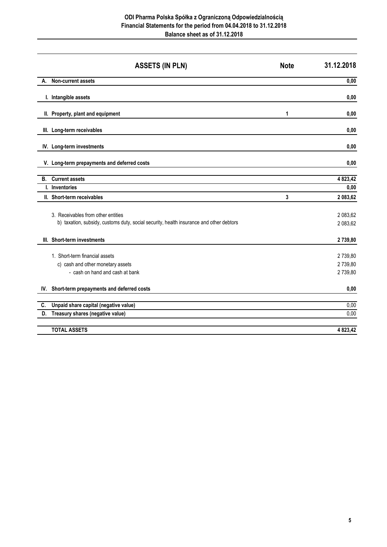#### **ODI Pharma Polska Spółka z Ograniczoną Odpowiedzialnością Financial Statements for the period from 04.04.2018 to 31.12.2018 Balance sheet as of 31.12.2018**

|     | <b>ASSETS (IN PLN)</b>                                                                                                        | <b>Note</b> | 31.12.2018                    |
|-----|-------------------------------------------------------------------------------------------------------------------------------|-------------|-------------------------------|
| А.  | Non-current assets                                                                                                            |             | 0,00                          |
|     | I. Intangible assets                                                                                                          |             | 0,00                          |
|     | II. Property, plant and equipment                                                                                             | 1           | 0,00                          |
|     | III. Long-term receivables                                                                                                    |             | 0,00                          |
|     | IV. Long-term investments                                                                                                     |             | 0.00                          |
|     | V. Long-term prepayments and deferred costs                                                                                   |             | 0.00                          |
|     | <b>B.</b> Current assets                                                                                                      |             | 4 823,42                      |
|     | I. Inventories                                                                                                                |             | 0,00                          |
|     | II. Short-term receivables                                                                                                    | 3           | 2 083,62                      |
|     | 3. Receivables from other entities<br>b) taxation, subsidy, customs duty, social security, health insurance and other debtors |             | 2 083,62<br>2 083,62          |
|     | III. Short-term investments                                                                                                   |             | 2739,80                       |
|     | 1. Short-term financial assets<br>c) cash and other monetary assets<br>- cash on hand and cash at bank                        |             | 2739,80<br>2739,80<br>2739,80 |
| IV. | Short-term prepayments and deferred costs                                                                                     |             | 0,00                          |
| C.  | Unpaid share capital (negative value)                                                                                         |             | 0,00                          |
| D.  | Treasury shares (negative value)                                                                                              |             | 0,00                          |
|     | <b>TOTAL ASSETS</b>                                                                                                           |             | 4 823,42                      |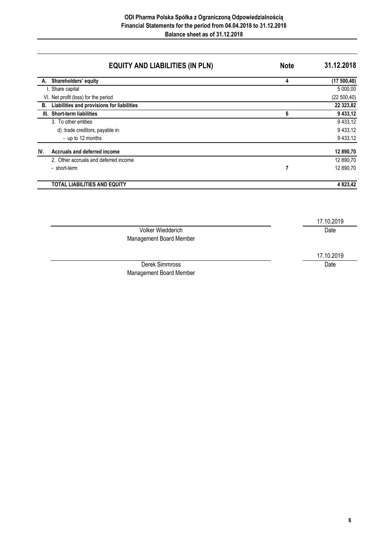## **EQUITY AND LIABILITIES (IN PLN) Note 31.12.2018**

|     | A. Shareholders' equity                    | 4 | (17500, 40)  |
|-----|--------------------------------------------|---|--------------|
|     | I. Share capital                           |   | 5 000,00     |
|     | VI. Net profit (loss) for the period       |   | (22 500, 40) |
| В.  | Liabilities and provisions for liabilities |   | 22 323,82    |
|     | III. Short-term liabilities                | 6 | 9 433,12     |
|     | 3. To other entities                       |   | 9 4 3 3, 1 2 |
|     | d) trade creditors, payable in:            |   | 9 4 3 3, 1 2 |
|     | - up to 12 months                          |   | 9 4 3 3, 1 2 |
| IV. | Accruals and deferred income               |   | 12 890,70    |
|     | 2. Other accruals and deferred income      |   | 12 890,70    |
|     | - short-term                               |   | 12 890,70    |
|     | <b>TOTAL LIABILITIES AND EQUITY</b>        |   | 4 823,42     |

|                         | 17.10.2019 |
|-------------------------|------------|
| Volker Wiedderich       | Date       |
| Management Board Member |            |
|                         | 17.10.2019 |
| Derek Simmross          | Date       |
| Management Board Member |            |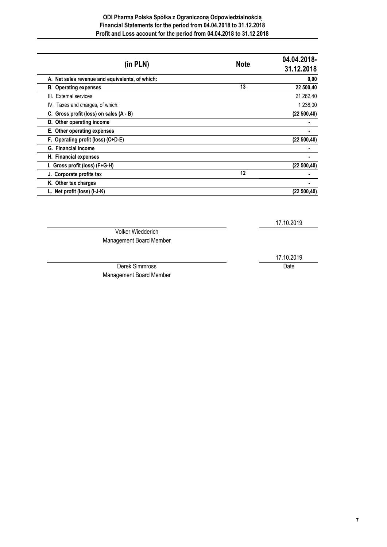### **ODI Pharma Polska Spółka z Ograniczoną Odpowiedzialnością Financial Statements for the period from 04.04.2018 to 31.12.2018 Profit and Loss account for the period from 04.04.2018 to 31.12.2018**

| (in PLN)                                        | <b>Note</b> | 04.04.2018-<br>31.12.2018 |
|-------------------------------------------------|-------------|---------------------------|
| A. Net sales revenue and equivalents, of which: |             | 0,00                      |
| <b>B.</b> Operating expenses                    | 13          | 22 500,40                 |
| III. External services                          |             | 21 262,40                 |
| IV. Taxes and charges, of which:                |             | 1 238,00                  |
| C. Gross profit (loss) on sales (A - B)         |             | (22 500, 40)              |
| D. Other operating income                       |             |                           |
| E. Other operating expenses                     |             |                           |
| F. Operating profit (loss) (C+D-E)              |             | (22 500, 40)              |
| G. Financial income                             |             |                           |
| H. Financial expenses                           |             |                           |
| I. Gross profit (loss) (F+G-H)                  |             | (22 500, 40)              |
| J. Corporate profits tax                        | 12          |                           |
| K. Other tax charges                            |             |                           |
| L. Net profit (loss) (I-J-K)                    |             | (22 500, 40)              |
|                                                 |             |                           |
|                                                 |             | 17.10.2019                |
| <b>Volker Wiedderich</b>                        |             |                           |
| Management Board Member                         |             |                           |

Derek Simmross Date

Management Board Member

17.10.2019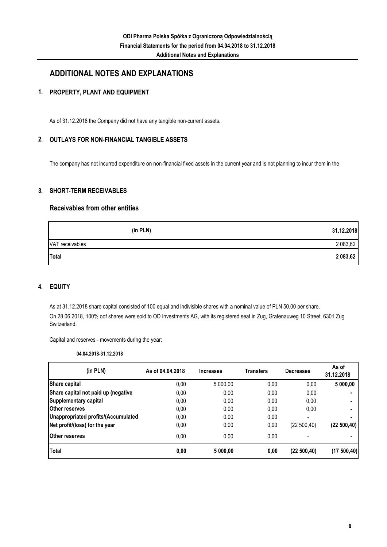## **ADDITIONAL NOTES AND EXPLANATIONS**

#### **1. PROPERTY, PLANT AND EQUIPMENT**

As of 31.12.2018 the Company did not have any tangible non-current assets.

#### **2. OUTLAYS FOR NON-FINANCIAL TANGIBLE ASSETS**

The company has not incurred expenditure on non-financial fixed assets in the current year and is not planning to incur them in the

#### **3. SHORT-TERM RECEIVABLES**

### **Receivables from other entities**

| (in PLN)        | 31.12.2018 |
|-----------------|------------|
| VAT receivables | 2 083,62   |
| Total           | 2 083,62   |

#### **4. EQUITY**

As at 31.12.2018 share capital consisted of 100 equal and indivisible shares with a nominal value of PLN 50,00 per share. On 28.06.2018, 100% oof shares were sold to OD Investments AG, with its registered seat in Zug, Grafenauweg 10 Street, 6301 Zug Switzerland.

Capital and reserves - movements during the year:

**04.04.2018-31.12.2018**

| (in PLN)                            | As of 04.04.2018 | <b>Increases</b> | Transfers | <b>Decreases</b>         | As of<br>31.12.2018 |
|-------------------------------------|------------------|------------------|-----------|--------------------------|---------------------|
| Share capital                       | 0,00             | 5 000.00         | 0,00      | 0,00                     | 5 000,00            |
| Share capital not paid up (negative | 0,00             | 0,00             | 0,00      | 0,00                     |                     |
| Supplementary capital               | 0.00             | 0,00             | 0.00      | 0,00                     |                     |
| Other reserves                      | 0.00             | 0,00             | 0.00      | 0,00                     |                     |
| Unappropriated profits/(Accumulated | 0.00             | 0,00             | 0.00      | $\overline{\phantom{a}}$ |                     |
| Net profit/(loss) for the year      | 0,00             | 0,00             | 0,00      | (22 500, 40)             | (22 500, 40)        |
| <b>Other reserves</b>               | 0.00             | 0.00             | 0.00      |                          |                     |
| Total                               | 0,00             | 5 000.00         | 0,00      | (22 500, 40)             | (17500,40)          |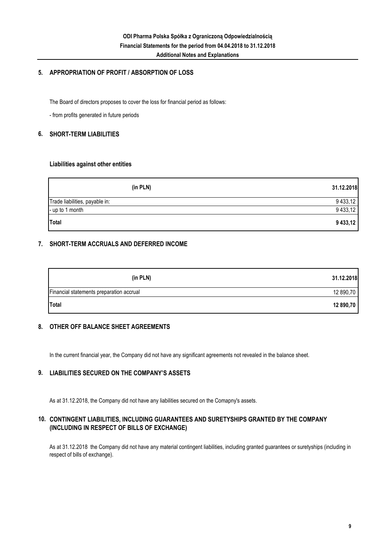### **5. APPROPRIATION OF PROFIT / ABSORPTION OF LOSS**

The Board of directors proposes to cover the loss for financial period as follows:

- from profits generated in future periods

#### **6. SHORT-TERM LIABILITIES**

#### **Liabilities against other entities**

| (in PLN)                       | 31.12.2018   |
|--------------------------------|--------------|
| Trade liabilities, payable in: | 9 433,12     |
| - up to 1 month                | 9 4 3 3, 1 2 |
| Total                          | 9 433,12     |

### **7. SHORT-TERM ACCRUALS AND DEFERRED INCOME**

| (in PLN)                                 | 31.12.2018 |
|------------------------------------------|------------|
| Financial statements preparation accrual | 12 890,70  |
| <b>Total</b>                             | 12 890,70  |

#### **8. OTHER OFF BALANCE SHEET AGREEMENTS**

In the current financial year, the Company did not have any significant agreements not revealed in the balance sheet.

#### **9. LIABILITIES SECURED ON THE COMPANY'S ASSETS**

As at 31.12.2018, the Company did not have any liabilities secured on the Comapny's assets.

#### **10. CONTINGENT LIABILITIES, INCLUDING GUARANTEES AND SURETYSHIPS GRANTED BY THE COMPANY (INCLUDING IN RESPECT OF BILLS OF EXCHANGE)**

As at 31.12.2018 the Company did not have any material contingent liabilities, including granted guarantees or suretyships (including in respect of bills of exchange).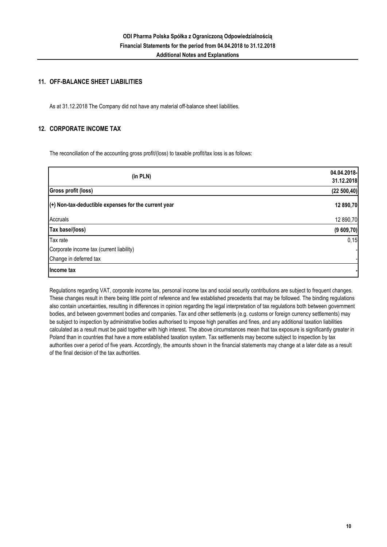#### **11. OFF-BALANCE SHEET LIABILITIES**

As at 31.12.2018 The Company did not have any material off-balance sheet liabilities.

#### **12. CORPORATE INCOME TAX**

The reconciliation of the accounting gross profit/(loss) to taxable profit/tax loss is as follows:

| (in PLN)                                               | 04.04.2018-<br>31.12.2018 |
|--------------------------------------------------------|---------------------------|
| Gross profit (loss)                                    | (22 500, 40)              |
| $(+)$ Non-tax-deductible expenses for the current year | 12 890,70                 |
| Accruals                                               | 12 890,70                 |
| Tax base/(loss)                                        | (9609,70)                 |
| Tax rate                                               | 0,15                      |
| Corporate income tax (current liability)               |                           |
| Change in deferred tax                                 |                           |
| Income tax                                             |                           |

Regulations regarding VAT, corporate income tax, personal income tax and social security contributions are subject to frequent changes. These changes result in there being little point of reference and few established precedents that may be followed. The binding regulations also contain uncertainties, resulting in differences in opinion regarding the legal interpretation of tax regulations both between government bodies, and between government bodies and companies. Tax and other settlements (e.g. customs or foreign currency settlements) may be subject to inspection by administrative bodies authorised to impose high penalties and fines, and any additional taxation liabilities calculated as a result must be paid together with high interest. The above circumstances mean that tax exposure is significantly greater in Poland than in countries that have a more established taxation system. Tax settlements may become subject to inspection by tax authorities over a period of five years. Accordingly, the amounts shown in the financial statements may change at a later date as a result of the final decision of the tax authorities.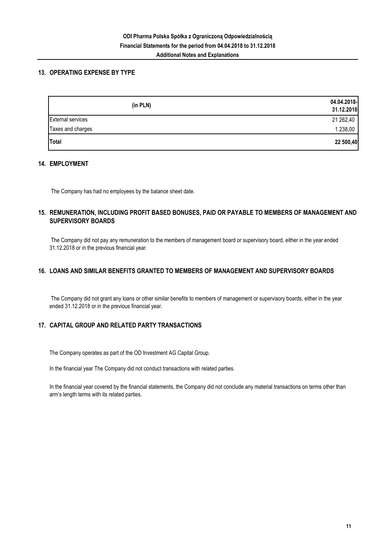### **13. OPERATING EXPENSE BY TYPE**

| (in PLN)                 | 04.04.2018-<br>31.12.2018 |
|--------------------------|---------------------------|
| <b>External services</b> | 21 262,40                 |
| Taxes and charges        | 1 238,00                  |
| Total                    | 22 500,40                 |

#### **14. EMPLOYMENT**

The Company has had no employees by the balance sheet date.

### **15. REMUNERATION, INCLUDING PROFIT BASED BONUSES, PAID OR PAYABLE TO MEMBERS OF MANAGEMENT AND SUPERVISORY BOARDS**

 The Company did not pay any remuneration to the members of management board or supervisory board, either in the year ended 31.12.2018 or in the previous financial year.

### **16. LOANS AND SIMILAR BENEFITS GRANTED TO MEMBERS OF MANAGEMENT AND SUPERVISORY BOARDS**

 The Company did not grant any loans or other similar benefits to members of management or supervisory boards, either in the year ended 31.12.2018 or in the previous financial year.

### **17. CAPITAL GROUP AND RELATED PARTY TRANSACTIONS**

The Company operates as part of the OD Investment AG Capital Group.

In the financial year The Company did not conduct transactions with related parties.

In the financial year covered by the financial statements, the Company did not conclude any material transactions on terms other than arm's length terms with its related parties.